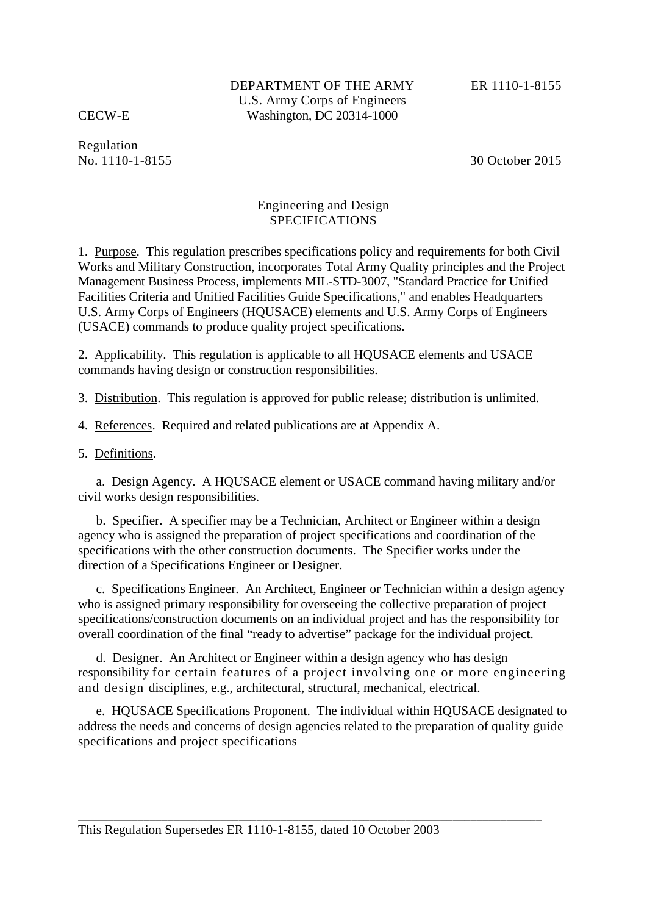Regulation No. 1110-1-8155 30 October 2015

## Engineering and Design SPECIFICATIONS

1. Purpose. This regulation prescribes specifications policy and requirements for both Civil Works and Military Construction, incorporates Total Army Quality principles and the Project Management Business Process, implements MIL-STD-3007, "Standard Practice for Unified Facilities Criteria and Unified Facilities Guide Specifications," and enables Headquarters U.S. Army Corps of Engineers (HQUSACE) elements and U.S. Army Corps of Engineers (USACE) commands to produce quality project specifications.

2. Applicability. This regulation is applicable to all HQUSACE elements and USACE commands having design or construction responsibilities.

3. Distribution. This regulation is approved for public release; distribution is unlimited.

4. References. Required and related publications are at Appendix A.

5. Definitions.

a. Design Agency. A HQUSACE element or USACE command having military and/or civil works design responsibilities.

b. Specifier. A specifier may be a Technician, Architect or Engineer within a design agency who is assigned the preparation of project specifications and coordination of the specifications with the other construction documents. The Specifier works under the direction of a Specifications Engineer or Designer.

c. Specifications Engineer. An Architect, Engineer or Technician within a design agency who is assigned primary responsibility for overseeing the collective preparation of project specifications/construction documents on an individual project and has the responsibility for overall coordination of the final "ready to advertise" package for the individual project.

d. Designer. An Architect or Engineer within a design agency who has design responsibility for certain features of a project involving one or more engineering and design disciplines, e.g., architectural, structural, mechanical, electrical.

e. HQUSACE Specifications Proponent. The individual within HQUSACE designated to address the needs and concerns of design agencies related to the preparation of quality guide specifications and project specifications

\_\_\_\_\_\_\_\_\_\_\_\_\_\_\_\_\_\_\_\_\_\_\_\_\_\_\_\_\_\_\_\_\_\_\_\_\_\_\_\_\_\_\_\_\_\_\_\_\_\_\_\_\_\_\_\_\_\_\_\_\_\_\_\_\_\_\_\_\_\_\_\_\_\_\_\_\_\_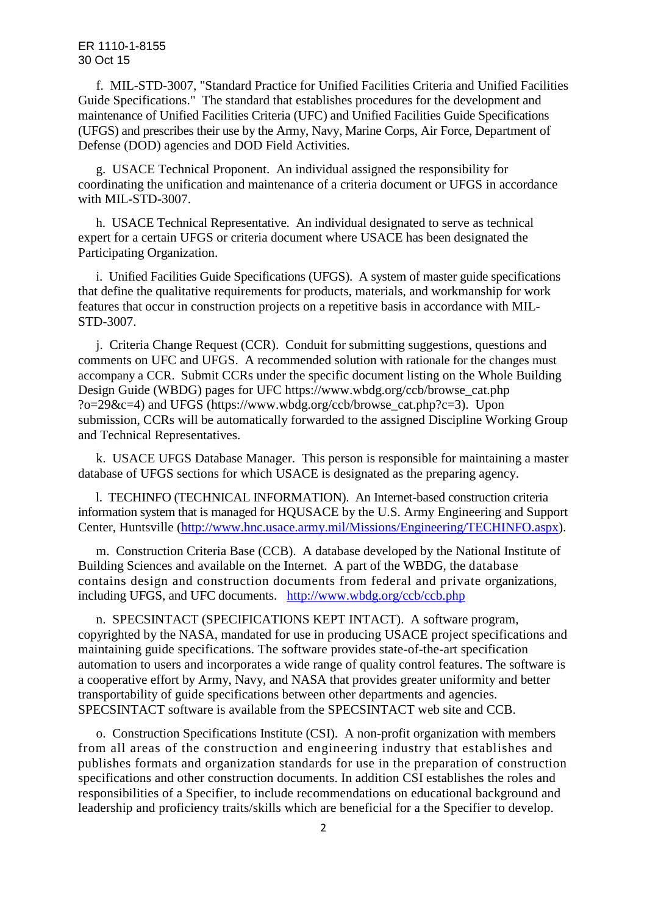f. MIL-STD-3007, "Standard Practice for Unified Facilities Criteria and Unified Facilities Guide Specifications." The standard that establishes procedures for the development and maintenance of Unified Facilities Criteria (UFC) and Unified Facilities Guide Specifications (UFGS) and prescribes their use by the Army, Navy, Marine Corps, Air Force, Department of Defense (DOD) agencies and DOD Field Activities.

g. USACE Technical Proponent. An individual assigned the responsibility for coordinating the unification and maintenance of a criteria document or UFGS in accordance with MIL-STD-3007.

h. USACE Technical Representative. An individual designated to serve as technical expert for a certain UFGS or criteria document where USACE has been designated the Participating Organization.

i. Unified Facilities Guide Specifications (UFGS). A system of master guide specifications that define the qualitative requirements for products, materials, and workmanship for work features that occur in construction projects on a repetitive basis in accordance with MIL-STD-3007.

j. Criteria Change Request (CCR). Conduit for submitting suggestions, questions and comments on UFC and UFGS. A recommended solution with rationale for the changes must accompany a CCR. Submit CCRs under the specific document listing on the Whole Building Design Guide (WBDG) pages for UFC https://www.wbdg.org/ccb/browse\_cat.php  $?o=29&c=4$ ) and UFGS (https://www.wbdg.org/ccb/browse\_cat.php?c=3). Upon submission, CCRs will be automatically forwarded to the assigned Discipline Working Group and Technical Representatives.

k. USACE UFGS Database Manager. This person is responsible for maintaining a master database of UFGS sections for which USACE is designated as the preparing agency.

l. TECHINFO (TECHNICAL INFORMATION). An Internet-based construction criteria information system that is managed for HQUSACE by the U.S. Army Engineering and Support Center, Huntsville [\(http://www.hnc.usace.army.mil/Missions/Engineering/TECHINFO.aspx\)](http://www.hnc.usace.army.mil/Missions/Engineering/TECHINFO.aspx).

m. Construction Criteria Base (CCB). A database developed by the National Institute of Building Sciences and available on the Internet. A part of the WBDG, the database contains design and construction documents from federal and private organizations, including UFGS, and UFC documents. <http://www.wbdg.org/ccb/ccb.php>

n. SPECSINTACT (SPECIFICATIONS KEPT INTACT). A software program, copyrighted by the NASA, mandated for use in producing USACE project specifications and maintaining guide specifications. The software provides state-of-the-art specification automation to users and incorporates a wide range of quality control features. The software is a cooperative effort by Army, Navy, and NASA that provides greater uniformity and better transportability of guide specifications between other departments and agencies. SPECSINTACT software is available from the SPECSINTACT web site and CCB.

o. Construction Specifications Institute (CSI). A non-profit organization with members from all areas of the construction and engineering industry that establishes and publishes formats and organization standards for use in the preparation of construction specifications and other construction documents. In addition CSI establishes the roles and responsibilities of a Specifier, to include recommendations on educational background and leadership and proficiency traits/skills which are beneficial for a the Specifier to develop.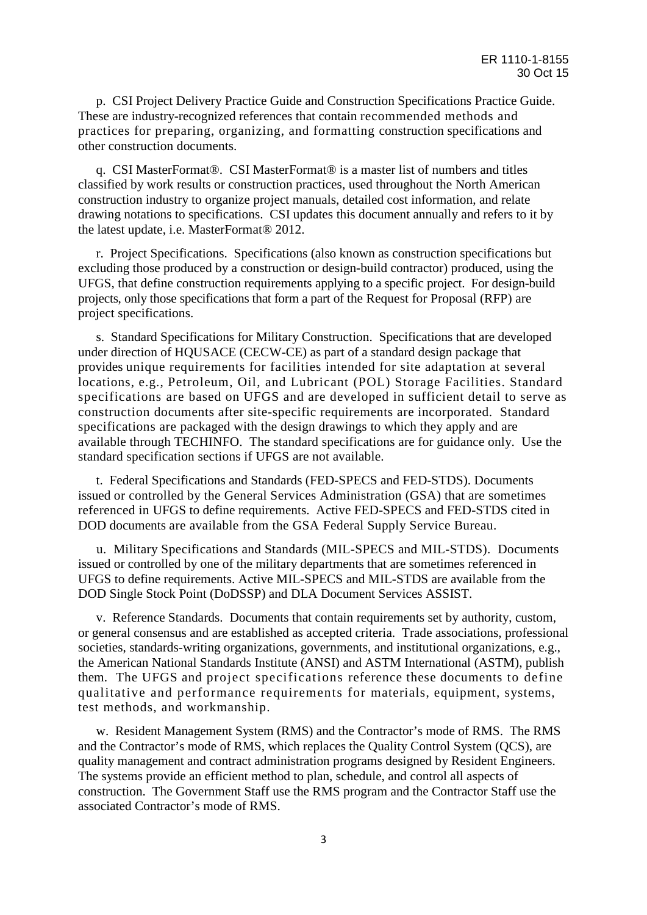p. CSI Project Delivery Practice Guide and Construction Specifications Practice Guide. These are industry-recognized references that contain recommended methods and practices for preparing, organizing, and formatting construction specifications and other construction documents.

q. CSI MasterFormat®. CSI MasterFormat® is a master list of numbers and titles classified by work results or construction practices, used throughout the North American construction industry to organize project manuals, detailed cost information, and relate drawing notations to specifications. CSI updates this document annually and refers to it by the latest update, i.e. MasterFormat® 2012.

r. Project Specifications. Specifications (also known as construction specifications but excluding those produced by a construction or design-build contractor) produced, using the UFGS, that define construction requirements applying to a specific project. For design-build projects, only those specifications that form a part of the Request for Proposal (RFP) are project specifications.

s. Standard Specifications for Military Construction. Specifications that are developed under direction of HQUSACE (CECW-CE) as part of a standard design package that provides unique requirements for facilities intended for site adaptation at several locations, e.g., Petroleum, Oil, and Lubricant (POL) Storage Facilities. Standard specifications are based on UFGS and are developed in sufficient detail to serve as construction documents after site-specific requirements are incorporated. Standard specifications are packaged with the design drawings to which they apply and are available through TECHINFO. The standard specifications are for guidance only. Use the standard specification sections if UFGS are not available.

t. Federal Specifications and Standards (FED-SPECS and FED-STDS). Documents issued or controlled by the General Services Administration (GSA) that are sometimes referenced in UFGS to define requirements. Active FED-SPECS and FED-STDS cited in DOD documents are available from the GSA Federal Supply Service Bureau.

u. Military Specifications and Standards (MIL-SPECS and MIL-STDS). Documents issued or controlled by one of the military departments that are sometimes referenced in UFGS to define requirements. Active MIL-SPECS and MIL-STDS are available from the DOD Single Stock Point (DoDSSP) and DLA Document Services ASSIST.

v. Reference Standards. Documents that contain requirements set by authority, custom, or general consensus and are established as accepted criteria. Trade associations, professional societies, standards-writing organizations, governments, and institutional organizations, e.g., the American National Standards Institute (ANSI) and ASTM International (ASTM), publish them. The UFGS and project specifications reference these documents to define qualitative and performance requirements for materials, equipment, systems, test methods, and workmanship.

w. Resident Management System (RMS) and the Contractor's mode of RMS. The RMS and the Contractor's mode of RMS, which replaces the Quality Control System (QCS), are quality management and contract administration programs designed by Resident Engineers. The systems provide an efficient method to plan, schedule, and control all aspects of construction. The Government Staff use the RMS program and the Contractor Staff use the associated Contractor's mode of RMS.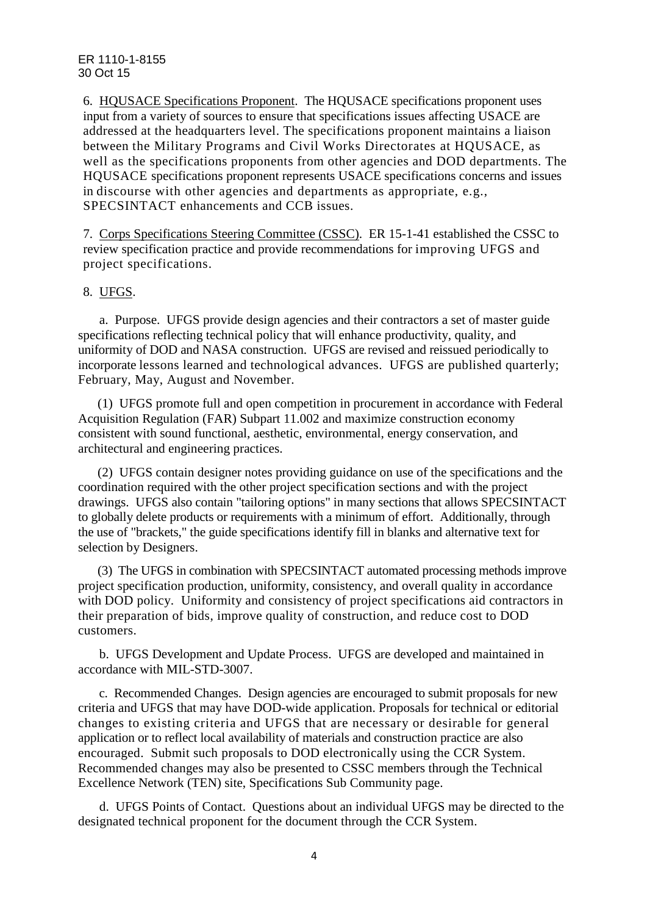6. HQUSACE Specifications Proponent. The HQUSACE specifications proponent uses input from a variety of sources to ensure that specifications issues affecting USACE are addressed at the headquarters level. The specifications proponent maintains a liaison between the Military Programs and Civil Works Directorates at HQUSACE, as well as the specifications proponents from other agencies and DOD departments. The HQUSACE specifications proponent represents USACE specifications concerns and issues in discourse with other agencies and departments as appropriate, e.g., SPECSINTACT enhancements and CCB issues.

7. Corps Specifications Steering Committee (CSSC). ER 15-1-41 established the CSSC to review specification practice and provide recommendations for improving UFGS and project specifications.

### 8. UFGS.

 a. Purpose. UFGS provide design agencies and their contractors a set of master guide specifications reflecting technical policy that will enhance productivity, quality, and uniformity of DOD and NASA construction. UFGS are revised and reissued periodically to incorporate lessons learned and technological advances. UFGS are published quarterly; February, May, August and November.

(1) UFGS promote full and open competition in procurement in accordance with Federal Acquisition Regulation (FAR) Subpart 11.002 and maximize construction economy consistent with sound functional, aesthetic, environmental, energy conservation, and architectural and engineering practices.

 (2) UFGS contain designer notes providing guidance on use of the specifications and the coordination required with the other project specification sections and with the project drawings. UFGS also contain "tailoring options" in many sections that allows SPECSINTACT to globally delete products or requirements with a minimum of effort. Additionally, through the use of "brackets," the guide specifications identify fill in blanks and alternative text for selection by Designers.

(3) The UFGS in combination with SPECSINTACT automated processing methods improve project specification production, uniformity, consistency, and overall quality in accordance with DOD policy. Uniformity and consistency of project specifications aid contractors in their preparation of bids, improve quality of construction, and reduce cost to DOD customers.

 b. UFGS Development and Update Process. UFGS are developed and maintained in accordance with MIL-STD-3007.

 c. Recommended Changes. Design agencies are encouraged to submit proposals for new criteria and UFGS that may have DOD-wide application. Proposals for technical or editorial changes to existing criteria and UFGS that are necessary or desirable for general application or to reflect local availability of materials and construction practice are also encouraged. Submit such proposals to DOD electronically using the CCR System. Recommended changes may also be presented to CSSC members through the Technical Excellence Network (TEN) site, Specifications Sub Community page.

 d. UFGS Points of Contact. Questions about an individual UFGS may be directed to the designated technical proponent for the document through the CCR System.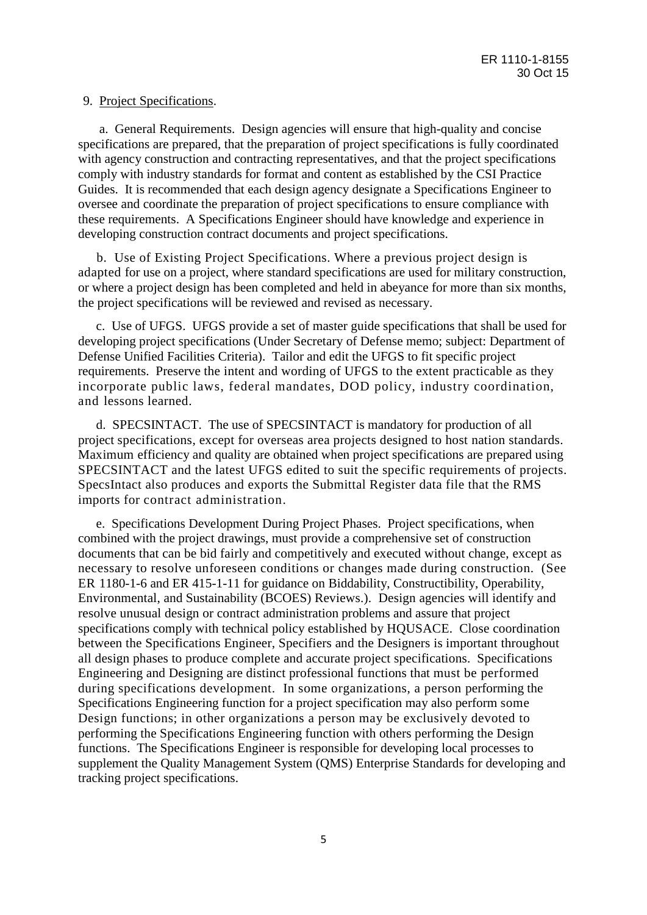#### 9. Project Specifications.

 a. General Requirements. Design agencies will ensure that high-quality and concise specifications are prepared, that the preparation of project specifications is fully coordinated with agency construction and contracting representatives, and that the project specifications comply with industry standards for format and content as established by the CSI Practice Guides. It is recommended that each design agency designate a Specifications Engineer to oversee and coordinate the preparation of project specifications to ensure compliance with these requirements. A Specifications Engineer should have knowledge and experience in developing construction contract documents and project specifications.

b. Use of Existing Project Specifications. Where a previous project design is adapted for use on a project, where standard specifications are used for military construction, or where a project design has been completed and held in abeyance for more than six months, the project specifications will be reviewed and revised as necessary.

c. Use of UFGS. UFGS provide a set of master guide specifications that shall be used for developing project specifications (Under Secretary of Defense memo; subject: Department of Defense Unified Facilities Criteria). Tailor and edit the UFGS to fit specific project requirements. Preserve the intent and wording of UFGS to the extent practicable as they incorporate public laws, federal mandates, DOD policy, industry coordination, and lessons learned.

d. SPECSINTACT. The use of SPECSINTACT is mandatory for production of all project specifications, except for overseas area projects designed to host nation standards. Maximum efficiency and quality are obtained when project specifications are prepared using SPECSINTACT and the latest UFGS edited to suit the specific requirements of projects. SpecsIntact also produces and exports the Submittal Register data file that the RMS imports for contract administration.

e. Specifications Development During Project Phases. Project specifications, when combined with the project drawings, must provide a comprehensive set of construction documents that can be bid fairly and competitively and executed without change, except as necessary to resolve unforeseen conditions or changes made during construction. (See ER 1180-1-6 and ER 415-1-11 for guidance on Biddability, Constructibility, Operability, Environmental, and Sustainability (BCOES) Reviews.). Design agencies will identify and resolve unusual design or contract administration problems and assure that project specifications comply with technical policy established by HQUSACE. Close coordination between the Specifications Engineer, Specifiers and the Designers is important throughout all design phases to produce complete and accurate project specifications. Specifications Engineering and Designing are distinct professional functions that must be performed during specifications development. In some organizations, a person performing the Specifications Engineering function for a project specification may also perform some Design functions; in other organizations a person may be exclusively devoted to performing the Specifications Engineering function with others performing the Design functions. The Specifications Engineer is responsible for developing local processes to supplement the Quality Management System (QMS) Enterprise Standards for developing and tracking project specifications.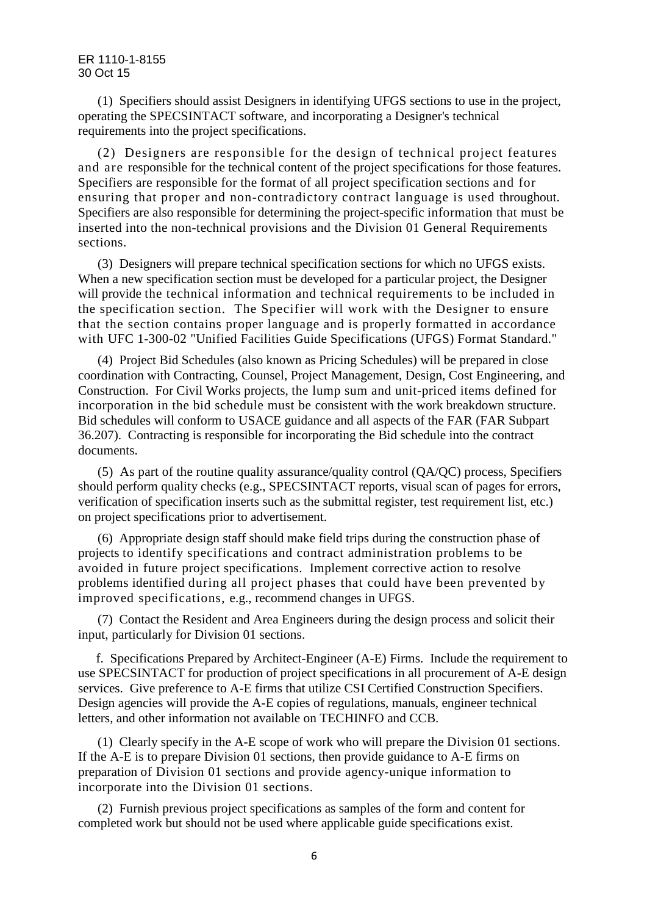(1) Specifiers should assist Designers in identifying UFGS sections to use in the project, operating the SPECSINTACT software, and incorporating a Designer's technical requirements into the project specifications.

(2) Designers are responsible for the design of technical project features and are responsible for the technical content of the project specifications for those features. Specifiers are responsible for the format of all project specification sections and for ensuring that proper and non-contradictory contract language is used throughout. Specifiers are also responsible for determining the project-specific information that must be inserted into the non-technical provisions and the Division 01 General Requirements sections.

(3) Designers will prepare technical specification sections for which no UFGS exists. When a new specification section must be developed for a particular project, the Designer will provide the technical information and technical requirements to be included in the specification section. The Specifier will work with the Designer to ensure that the section contains proper language and is properly formatted in accordance with UFC 1-300-02 "Unified Facilities Guide Specifications (UFGS) Format Standard."

(4) Project Bid Schedules (also known as Pricing Schedules) will be prepared in close coordination with Contracting, Counsel, Project Management, Design, Cost Engineering, and Construction. For Civil Works projects, the lump sum and unit-priced items defined for incorporation in the bid schedule must be consistent with the work breakdown structure. Bid schedules will conform to USACE guidance and all aspects of the FAR (FAR Subpart 36.207). Contracting is responsible for incorporating the Bid schedule into the contract documents.

(5) As part of the routine quality assurance/quality control  $(QA/QC)$  process, Specifiers should perform quality checks (e.g., SPECSINTACT reports, visual scan of pages for errors, verification of specification inserts such as the submittal register, test requirement list, etc.) on project specifications prior to advertisement.

(6) Appropriate design staff should make field trips during the construction phase of projects to identify specifications and contract administration problems to be avoided in future project specifications. Implement corrective action to resolve problems identified during all project phases that could have been prevented by improved specifications, e.g., recommend changes in UFGS.

(7) Contact the Resident and Area Engineers during the design process and solicit their input, particularly for Division 01 sections.

f. Specifications Prepared by Architect-Engineer (A-E) Firms. Include the requirement to use SPECSINTACT for production of project specifications in all procurement of A-E design services. Give preference to A-E firms that utilize CSI Certified Construction Specifiers. Design agencies will provide the A-E copies of regulations, manuals, engineer technical letters, and other information not available on TECHINFO and CCB.

(1) Clearly specify in the A-E scope of work who will prepare the Division 01 sections. If the A-E is to prepare Division 01 sections, then provide guidance to A-E firms on preparation of Division 01 sections and provide agency-unique information to incorporate into the Division 01 sections.

(2) Furnish previous project specifications as samples of the form and content for completed work but should not be used where applicable guide specifications exist.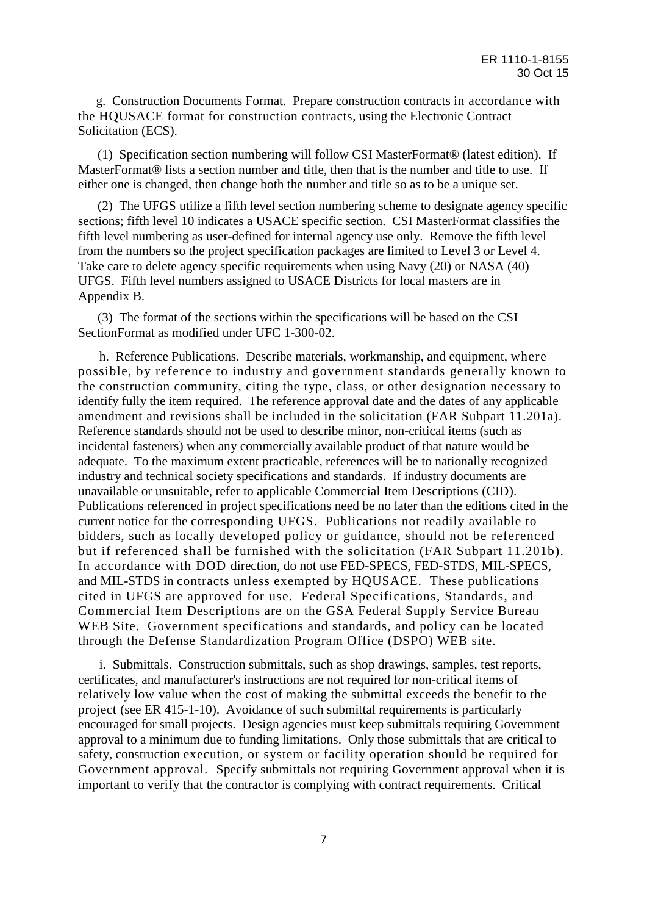g. Construction Documents Format. Prepare construction contracts in accordance with the HQUSACE format for construction contracts, using the Electronic Contract Solicitation (ECS).

(1) Specification section numbering will follow CSI MasterFormat® (latest edition). If MasterFormat<sup>®</sup> lists a section number and title, then that is the number and title to use. If either one is changed, then change both the number and title so as to be a unique set.

(2) The UFGS utilize a fifth level section numbering scheme to designate agency specific sections; fifth level 10 indicates a USACE specific section. CSI MasterFormat classifies the fifth level numbering as user-defined for internal agency use only. Remove the fifth level from the numbers so the project specification packages are limited to Level 3 or Level 4. Take care to delete agency specific requirements when using Navy (20) or NASA (40) UFGS. Fifth level numbers assigned to USACE Districts for local masters are in Appendix B.

(3) The format of the sections within the specifications will be based on the CSI SectionFormat as modified under UFC 1-300-02.

 h. Reference Publications. Describe materials, workmanship, and equipment, where possible, by reference to industry and government standards generally known to the construction community, citing the type, class, or other designation necessary to identify fully the item required. The reference approval date and the dates of any applicable amendment and revisions shall be included in the solicitation (FAR Subpart 11.201a). Reference standards should not be used to describe minor, non-critical items (such as incidental fasteners) when any commercially available product of that nature would be adequate. To the maximum extent practicable, references will be to nationally recognized industry and technical society specifications and standards. If industry documents are unavailable or unsuitable, refer to applicable Commercial Item Descriptions (CID). Publications referenced in project specifications need be no later than the editions cited in the current notice for the corresponding UFGS. Publications not readily available to bidders, such as locally developed policy or guidance, should not be referenced but if referenced shall be furnished with the solicitation (FAR Subpart 11.201b). In accordance with DOD direction, do not use FED-SPECS, FED-STDS, MIL-SPECS, and MIL-STDS in contracts unless exempted by HQUSACE. These publications cited in UFGS are approved for use. Federal Specifications, Standards, and Commercial Item Descriptions are on the GSA Federal Supply Service Bureau WEB Site. Government specifications and standards, and policy can be located through the Defense Standardization Program Office (DSPO) WEB site.

 i. Submittals. Construction submittals, such as shop drawings, samples, test reports, certificates, and manufacturer's instructions are not required for non-critical items of relatively low value when the cost of making the submittal exceeds the benefit to the project (see ER 415-1-10). Avoidance of such submittal requirements is particularly encouraged for small projects. Design agencies must keep submittals requiring Government approval to a minimum due to funding limitations. Only those submittals that are critical to safety, construction execution, or system or facility operation should be required for Government approval. Specify submittals not requiring Government approval when it is important to verify that the contractor is complying with contract requirements. Critical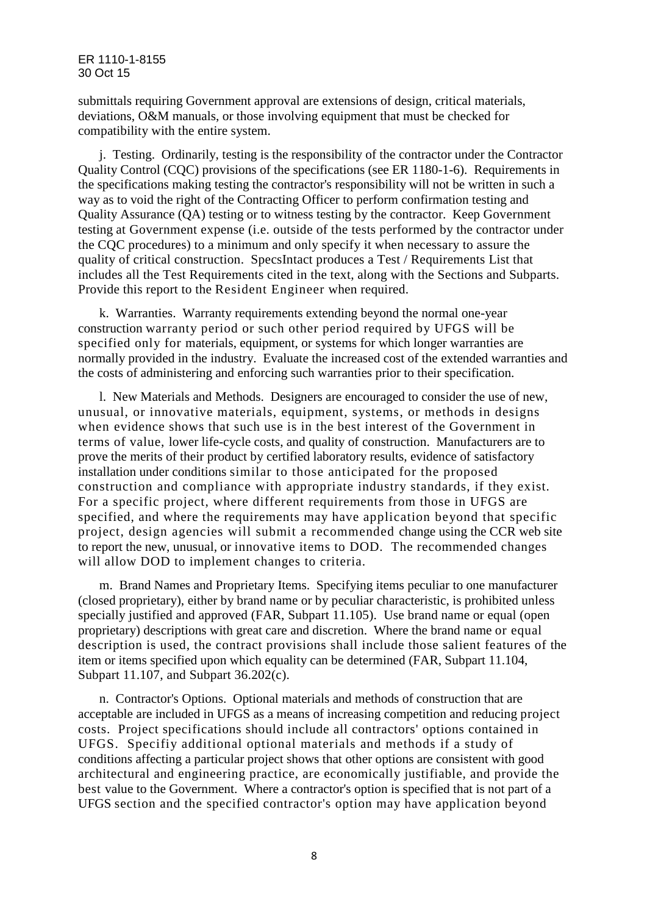submittals requiring Government approval are extensions of design, critical materials, deviations, O&M manuals, or those involving equipment that must be checked for compatibility with the entire system.

 j. Testing. Ordinarily, testing is the responsibility of the contractor under the Contractor Quality Control (CQC) provisions of the specifications (see ER 1180-1-6). Requirements in the specifications making testing the contractor's responsibility will not be written in such a way as to void the right of the Contracting Officer to perform confirmation testing and Quality Assurance (QA) testing or to witness testing by the contractor. Keep Government testing at Government expense (i.e. outside of the tests performed by the contractor under the CQC procedures) to a minimum and only specify it when necessary to assure the quality of critical construction. SpecsIntact produces a Test / Requirements List that includes all the Test Requirements cited in the text, along with the Sections and Subparts. Provide this report to the Resident Engineer when required.

 k. Warranties. Warranty requirements extending beyond the normal one-year construction warranty period or such other period required by UFGS will be specified only for materials, equipment, or systems for which longer warranties are normally provided in the industry. Evaluate the increased cost of the extended warranties and the costs of administering and enforcing such warranties prior to their specification.

 l. New Materials and Methods. Designers are encouraged to consider the use of new, unusual, or innovative materials, equipment, systems, or methods in designs when evidence shows that such use is in the best interest of the Government in terms of value, lower life-cycle costs, and quality of construction. Manufacturers are to prove the merits of their product by certified laboratory results, evidence of satisfactory installation under conditions similar to those anticipated for the proposed construction and compliance with appropriate industry standards, if they exist. For a specific project, where different requirements from those in UFGS are specified, and where the requirements may have application beyond that specific project, design agencies will submit a recommended change using the CCR web site to report the new, unusual, or innovative items to DOD. The recommended changes will allow DOD to implement changes to criteria.

 m. Brand Names and Proprietary Items. Specifying items peculiar to one manufacturer (closed proprietary), either by brand name or by peculiar characteristic, is prohibited unless specially justified and approved (FAR, Subpart 11.105). Use brand name or equal (open proprietary) descriptions with great care and discretion. Where the brand name or equal description is used, the contract provisions shall include those salient features of the item or items specified upon which equality can be determined (FAR, Subpart 11.104, Subpart 11.107, and Subpart 36.202(c).

 n. Contractor's Options. Optional materials and methods of construction that are acceptable are included in UFGS as a means of increasing competition and reducing project costs. Project specifications should include all contractors' options contained in UFGS. Specifiy additional optional materials and methods if a study of conditions affecting a particular project shows that other options are consistent with good architectural and engineering practice, are economically justifiable, and provide the best value to the Government. Where a contractor's option is specified that is not part of a UFGS section and the specified contractor's option may have application beyond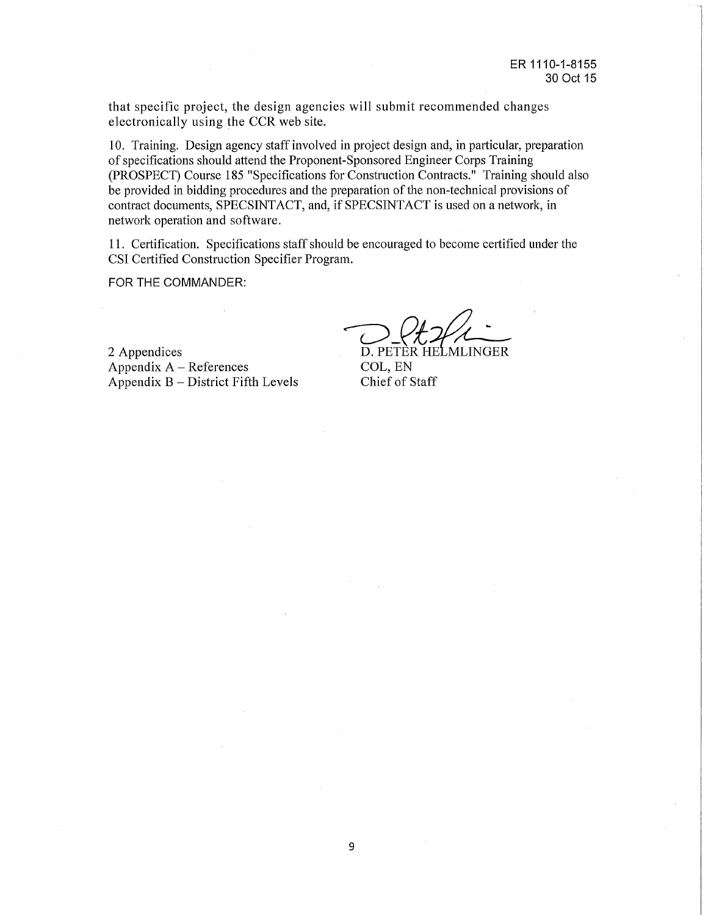that specific project, the design agencies will submit recommended changes electronically using the CCR web site.

10. Training. Design agency staff involved in project design and, in particular, preparation of specifications should attend the Proponent-Sponsored Engineer Corps Training (PROSPECT) Course 185 "Specifications for Construction Contracts." Training should also be provided in bidding procedures and the preparation of the non-technical provisions of contract documents, SPECSINTACT, and, if SPECSINTACT is used on a network, in network operation and software.

11. Certification. Specifications staff should be encouraged to become certified under the CSI Certified Construction Specifier Program.

FOR THE COMMANDER:

2 Appendices D. PETER HELMLINGER Appendix A – References COL, EN Appendix  $B -$  District Fifth Levels Chief of Staff

 $D$ -lt2/ $i$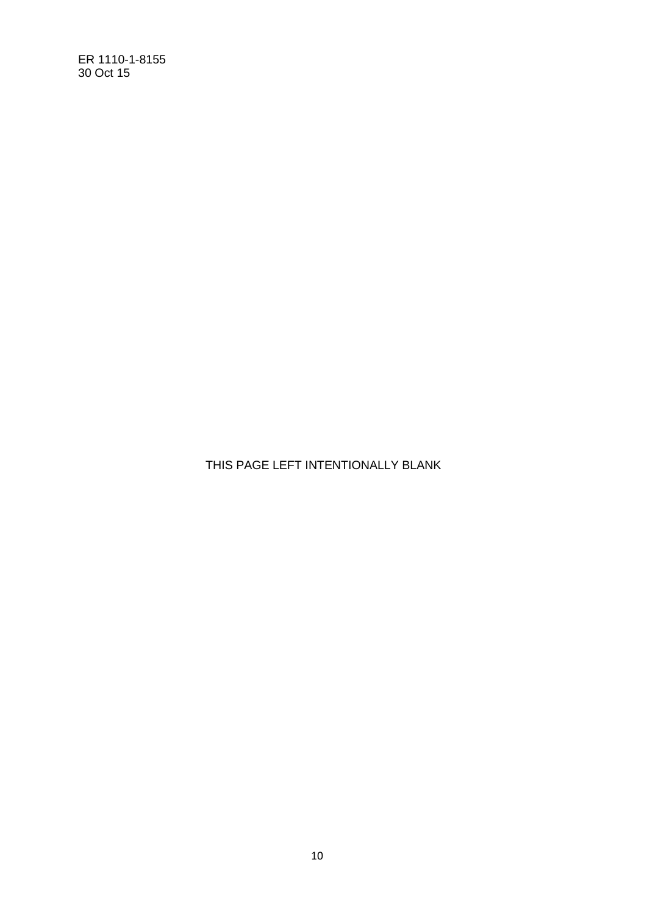THIS PAGE LEFT INTENTIONALLY BLANK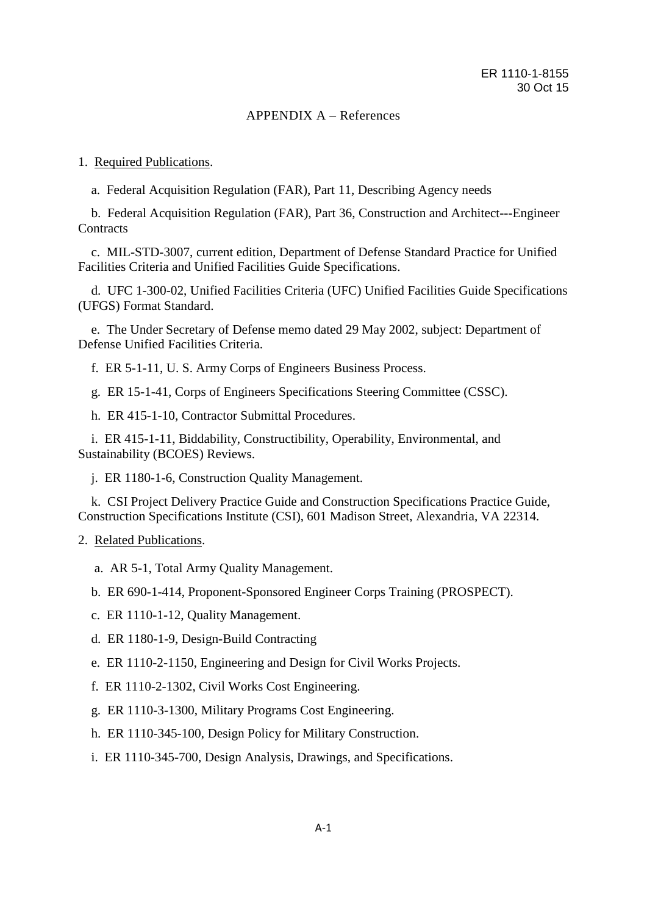## APPENDIX A – References

### 1. Required Publications.

a. Federal Acquisition Regulation (FAR), Part 11, Describing Agency needs

 b. Federal Acquisition Regulation (FAR), Part 36, Construction and Architect---Engineer **Contracts** 

 c. MIL-STD-3007, current edition, Department of Defense Standard Practice for Unified Facilities Criteria and Unified Facilities Guide Specifications.

 d. UFC 1-300-02, Unified Facilities Criteria (UFC) Unified Facilities Guide Specifications (UFGS) Format Standard.

 e. The Under Secretary of Defense memo dated 29 May 2002, subject: Department of Defense Unified Facilities Criteria.

f. ER 5-1-11, U. S. Army Corps of Engineers Business Process.

g. ER 15-1-41, Corps of Engineers Specifications Steering Committee (CSSC).

h. ER 415-1-10, Contractor Submittal Procedures.

 i. ER 415-1-11, Biddability, Constructibility, Operability, Environmental, and Sustainability (BCOES) Reviews.

j. ER 1180-1-6, Construction Quality Management.

 k. CSI Project Delivery Practice Guide and Construction Specifications Practice Guide, Construction Specifications Institute (CSI), 601 Madison Street, Alexandria, VA 22314.

#### 2. Related Publications.

a. AR 5-1, Total Army Quality Management.

b. ER 690-1-414, Proponent-Sponsored Engineer Corps Training (PROSPECT).

c. ER 1110-1-12, Quality Management.

d. ER 1180-1-9, Design-Build Contracting

e. ER 1110-2-1150, Engineering and Design for Civil Works Projects.

f. ER 1110-2-1302, Civil Works Cost Engineering.

g. ER 1110-3-1300, Military Programs Cost Engineering.

h. ER 1110-345-100, Design Policy for Military Construction.

i. ER 1110-345-700, Design Analysis, Drawings, and Specifications.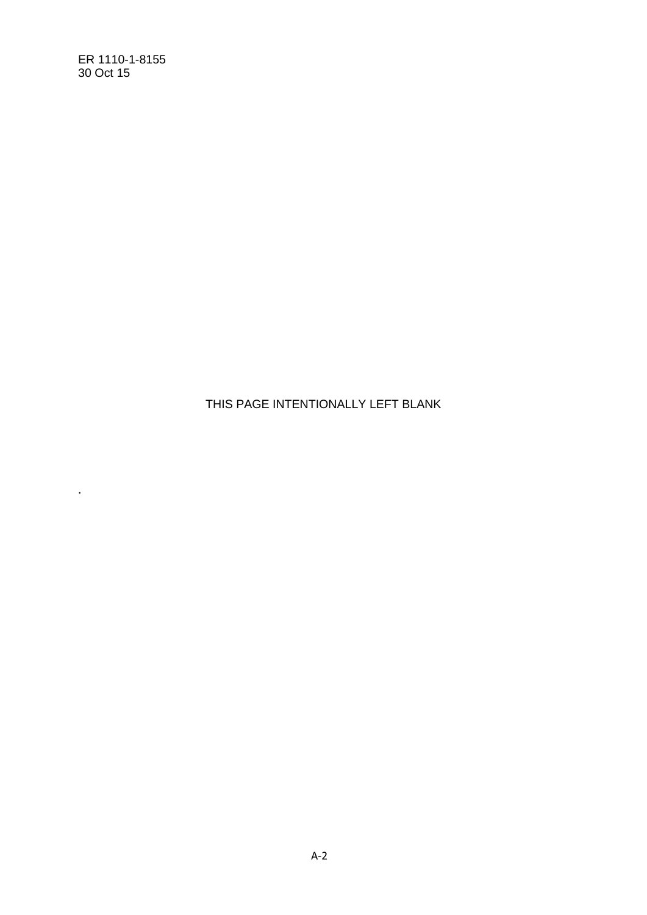.

# THIS PAGE INTENTIONALLY LEFT BLANK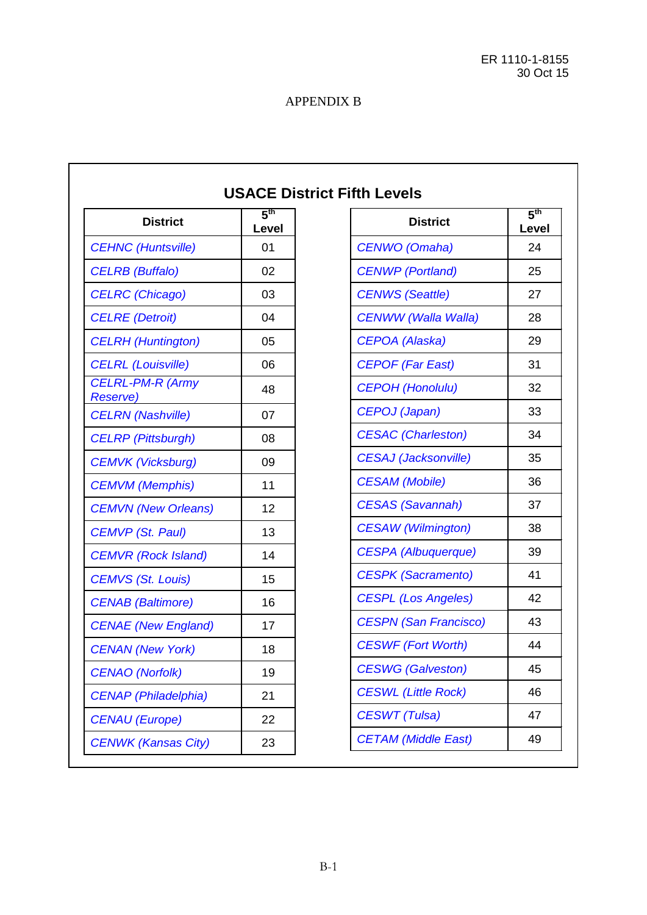٦

## APPENDIX B

| <b>USACE District Fifth Levels</b>         |                          |                              |                          |
|--------------------------------------------|--------------------------|------------------------------|--------------------------|
| <b>District</b>                            | 5 <sup>th</sup><br>Level | <b>District</b>              | 5 <sup>th</sup><br>Level |
| <b>CEHNC (Huntsville)</b>                  | 01                       | CENWO (Omaha)                | 24                       |
| <b>CELRB</b> (Buffalo)                     | 02                       | <b>CENWP</b> (Portland)      | 25                       |
| <b>CELRC</b> (Chicago)                     | 03                       | <b>CENWS (Seattle)</b>       | 27                       |
| <b>CELRE</b> (Detroit)                     | 04                       | <b>CENWW</b> (Walla Walla)   | 28                       |
| <b>CELRH</b> (Huntington)                  | 05                       | CEPOA (Alaska)               | 29                       |
| <b>CELRL</b> (Louisville)                  | 06                       | <b>CEPOF</b> (Far East)      | 31                       |
| <b>CELRL-PM-R (Army</b><br><b>Reserve)</b> | 48                       | <b>CEPOH (Honolulu)</b>      | 32                       |
| <b>CELRN</b> (Nashville)                   | 07                       | CEPOJ (Japan)                | 33                       |
| <b>CELRP</b> (Pittsburgh)                  | 08                       | <b>CESAC</b> (Charleston)    | 34                       |
| <b>CEMVK (Vicksburg)</b>                   | 09                       | <b>CESAJ</b> (Jacksonville)  | 35                       |
| <b>CEMVM</b> (Memphis)                     | 11                       | <b>CESAM</b> (Mobile)        | 36                       |
| <b>CEMVN</b> (New Orleans)                 | 12                       | <b>CESAS (Savannah)</b>      | 37                       |
| <b>CEMVP</b> (St. Paul)                    | 13                       | <b>CESAW</b> (Wilmington)    | 38                       |
| <b>CEMVR</b> (Rock Island)                 | 14                       | <b>CESPA</b> (Albuquerque)   | 39                       |
| <b>CEMVS (St. Louis)</b>                   | 15                       | <b>CESPK (Sacramento)</b>    | 41                       |
| <b>CENAB</b> (Baltimore)                   | 16                       | <b>CESPL (Los Angeles)</b>   | 42                       |
| <b>CENAE (New England)</b>                 | 17                       | <b>CESPN (San Francisco)</b> | 43                       |
| <b>CENAN (New York)</b>                    | 18                       | <b>CESWF</b> (Fort Worth)    | 44                       |
| <b>CENAO</b> (Norfolk)                     | 19                       | <b>CESWG</b> (Galveston)     | 45                       |
| <b>CENAP</b> (Philadelphia)                | 21                       | <b>CESWL</b> (Little Rock)   | 46                       |
| <b>CENAU</b> (Europe)                      | 22                       | <b>CESWT</b> (Tulsa)         | 47                       |
| <b>CENWK (Kansas City)</b>                 | 23                       | <b>CETAM</b> (Middle East)   | 49                       |